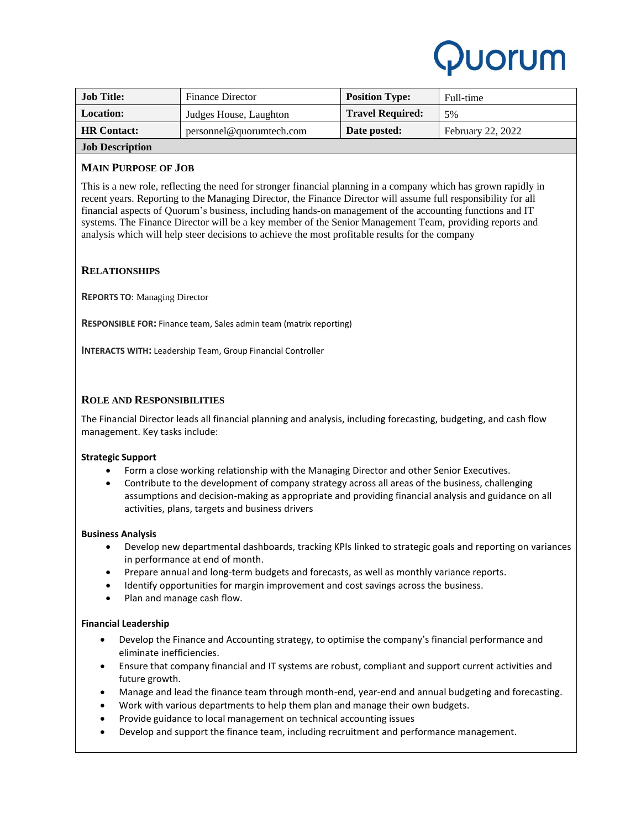## **UOrUM**

| <b>Job Title:</b>                                         | <b>Finance Director</b>  | <b>Position Type:</b>   | Full-time                |
|-----------------------------------------------------------|--------------------------|-------------------------|--------------------------|
| <b>Location:</b>                                          | Judges House, Laughton   | <b>Travel Required:</b> | 5%                       |
| <b>HR</b> Contact:                                        | personnel@quorumtech.com | Date posted:            | <b>February 22, 2022</b> |
| $\mathbf{v}$ , $\mathbf{v}$ , $\mathbf{v}$ , $\mathbf{v}$ |                          |                         |                          |

## **Job Description**

### **MAIN PURPOSE OF JOB**

This is a new role, reflecting the need for stronger financial planning in a company which has grown rapidly in recent years. Reporting to the Managing Director, the Finance Director will assume full responsibility for all financial aspects of Quorum's business, including hands-on management of the accounting functions and IT systems. The Finance Director will be a key member of the Senior Management Team, providing reports and analysis which will help steer decisions to achieve the most profitable results for the company

### **RELATIONSHIPS**

**REPORTS TO**: Managing Director

**RESPONSIBLE FOR:** Finance team, Sales admin team (matrix reporting)

**INTERACTS WITH:** Leadership Team, Group Financial Controller

#### **ROLE AND RESPONSIBILITIES**

The Financial Director leads all financial planning and analysis, including forecasting, budgeting, and cash flow management. Key tasks include:

#### **Strategic Support**

- Form a close working relationship with the Managing Director and other Senior Executives.
- Contribute to the development of company strategy across all areas of the business, challenging assumptions and decision-making as appropriate and providing financial analysis and guidance on all activities, plans, targets and business drivers

#### **Business Analysis**

- Develop new departmental dashboards, tracking KPIs linked to strategic goals and reporting on variances in performance at end of month.
- Prepare annual and long-term budgets and forecasts, as well as monthly variance reports.
- Identify opportunities for margin improvement and cost savings across the business.
- Plan and manage cash flow.

#### **Financial Leadership**

- Develop the Finance and Accounting strategy, to optimise the company's financial performance and eliminate inefficiencies.
- Ensure that company financial and IT systems are robust, compliant and support current activities and future growth.
- Manage and lead the finance team through month-end, year-end and annual budgeting and forecasting.
- Work with various departments to help them plan and manage their own budgets.
- Provide guidance to local management on technical accounting issues
- Develop and support the finance team, including recruitment and performance management.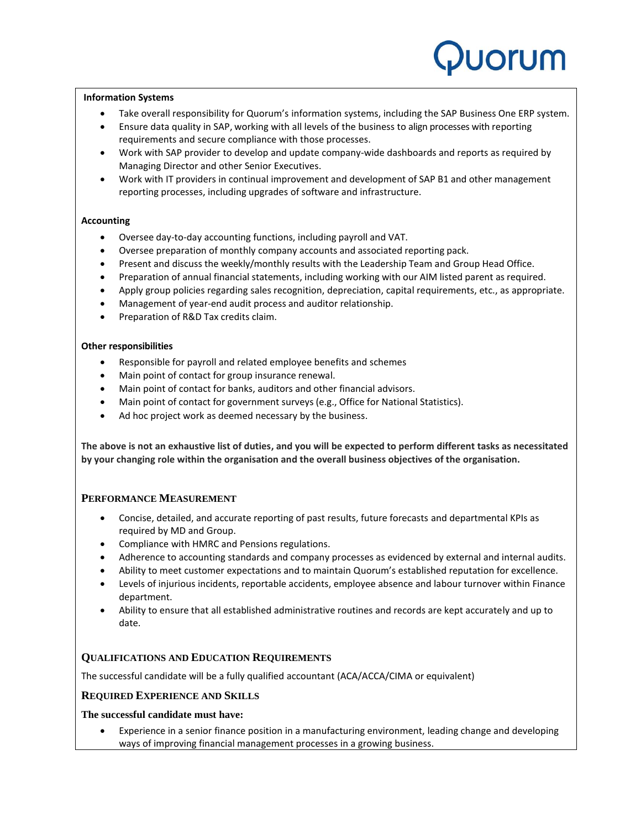# **UOrUM**

#### **Information Systems**

- Take overall responsibility for Quorum's information systems, including the SAP Business One ERP system.
- Ensure data quality in SAP, working with all levels of the business to align processes with reporting requirements and secure compliance with those processes.
- Work with SAP provider to develop and update company-wide dashboards and reports as required by Managing Director and other Senior Executives.
- Work with IT providers in continual improvement and development of SAP B1 and other management reporting processes, including upgrades of software and infrastructure.

#### **Accounting**

- Oversee day-to-day accounting functions, including payroll and VAT.
- Oversee preparation of monthly company accounts and associated reporting pack.
- Present and discuss the weekly/monthly results with the Leadership Team and Group Head Office.
- Preparation of annual financial statements, including working with our AIM listed parent as required.
- Apply group policies regarding sales recognition, depreciation, capital requirements, etc., as appropriate.
- Management of year-end audit process and auditor relationship.
- Preparation of R&D Tax credits claim.

#### **Other responsibilities**

- Responsible for payroll and related employee benefits and schemes
- Main point of contact for group insurance renewal.
- Main point of contact for banks, auditors and other financial advisors.
- Main point of contact for government surveys (e.g., Office for National Statistics).
- Ad hoc project work as deemed necessary by the business.

**The above is not an exhaustive list of duties, and you will be expected to perform different tasks as necessitated by your changing role within the organisation and the overall business objectives of the organisation.** 

#### **PERFORMANCE MEASUREMENT**

- Concise, detailed, and accurate reporting of past results, future forecasts and departmental KPIs as required by MD and Group.
- Compliance with HMRC and Pensions regulations.
- Adherence to accounting standards and company processes as evidenced by external and internal audits.
- Ability to meet customer expectations and to maintain Quorum's established reputation for excellence.
- Levels of injurious incidents, reportable accidents, employee absence and labour turnover within Finance department.
- Ability to ensure that all established administrative routines and records are kept accurately and up to date.

#### **QUALIFICATIONS AND EDUCATION REQUIREMENTS**

The successful candidate will be a fully qualified accountant (ACA/ACCA/CIMA or equivalent)

#### **REQUIRED EXPERIENCE AND SKILLS**

#### **The successful candidate must have:**

• Experience in a senior finance position in a manufacturing environment, leading change and developing ways of improving financial management processes in a growing business.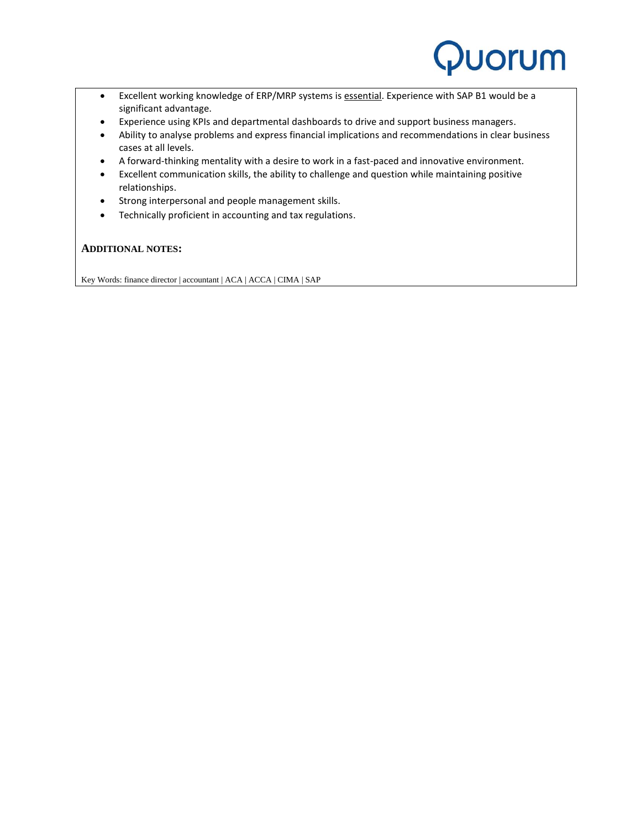

- Excellent working knowledge of ERP/MRP systems is essential. Experience with SAP B1 would be a significant advantage.
- Experience using KPIs and departmental dashboards to drive and support business managers.
- Ability to analyse problems and express financial implications and recommendations in clear business cases at all levels.
- A forward-thinking mentality with a desire to work in a fast-paced and innovative environment.
- Excellent communication skills, the ability to challenge and question while maintaining positive relationships.
- Strong interpersonal and people management skills.
- Technically proficient in accounting and tax regulations.

#### **ADDITIONAL NOTES:**

Key Words: finance director | accountant | ACA | ACCA | CIMA | SAP